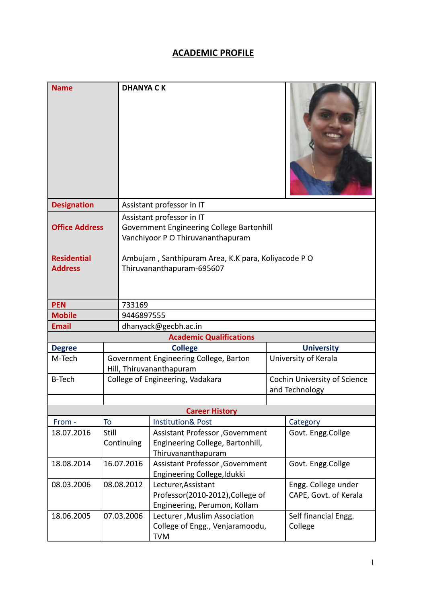## **ACADEMIC PROFILE**

| <b>Name</b>                          |            | <b>DHANYA CK</b>                                                                                            |                                                                                            |  |                                                                      |  |  |
|--------------------------------------|------------|-------------------------------------------------------------------------------------------------------------|--------------------------------------------------------------------------------------------|--|----------------------------------------------------------------------|--|--|
| <b>Designation</b>                   |            | Assistant professor in IT                                                                                   |                                                                                            |  |                                                                      |  |  |
| <b>Office Address</b>                |            | Assistant professor in IT<br>Government Engineering College Bartonhill<br>Vanchiyoor P O Thiruvananthapuram |                                                                                            |  |                                                                      |  |  |
| <b>Residential</b><br><b>Address</b> |            | Ambujam, Santhipuram Area, K.K para, Koliyacode PO<br>Thiruvananthapuram-695607                             |                                                                                            |  |                                                                      |  |  |
| <b>PEN</b>                           |            | 733169                                                                                                      |                                                                                            |  |                                                                      |  |  |
| <b>Mobile</b>                        |            | 9446897555                                                                                                  |                                                                                            |  |                                                                      |  |  |
| <b>Email</b>                         |            |                                                                                                             | dhanyack@gecbh.ac.in                                                                       |  |                                                                      |  |  |
|                                      |            |                                                                                                             | <b>Academic Qualifications</b>                                                             |  |                                                                      |  |  |
| <b>Degree</b>                        |            |                                                                                                             | <b>College</b>                                                                             |  | <b>University</b>                                                    |  |  |
| M-Tech                               |            |                                                                                                             | Government Engineering College, Barton<br>Hill, Thiruvananthapuram                         |  | University of Kerala                                                 |  |  |
| <b>B-Tech</b>                        |            |                                                                                                             | College of Engineering, Vadakara                                                           |  | Cochin University of Science<br>and Technology                       |  |  |
|                                      |            |                                                                                                             |                                                                                            |  |                                                                      |  |  |
|                                      |            |                                                                                                             | <b>Career History</b>                                                                      |  |                                                                      |  |  |
| From -                               | To         |                                                                                                             | <b>Institution&amp; Post</b>                                                               |  | Category                                                             |  |  |
| 18.07.2016                           | Still      | Continuing                                                                                                  | Assistant Professor , Government<br>Engineering College, Bartonhill,<br>Thiruvananthapuram |  | Govt. Engg.Collge                                                    |  |  |
| 18.08.2014                           |            | 16.07.2016                                                                                                  | Assistant Professor , Government<br>Engineering College, Idukki                            |  | Govt. Engg.Collge                                                    |  |  |
| 08.03.2006                           | 08.08.2012 |                                                                                                             | Lecturer, Assistant<br>Professor(2010-2012), College of<br>Engineering, Perumon, Kollam    |  | Engg. College under<br>CAPE, Govt. of Kerala<br>Self financial Engg. |  |  |
| 18.06.2005                           | 07.03.2006 |                                                                                                             | Lecturer, Muslim Association<br>College of Engg., Venjaramoodu,<br><b>TVM</b>              |  |                                                                      |  |  |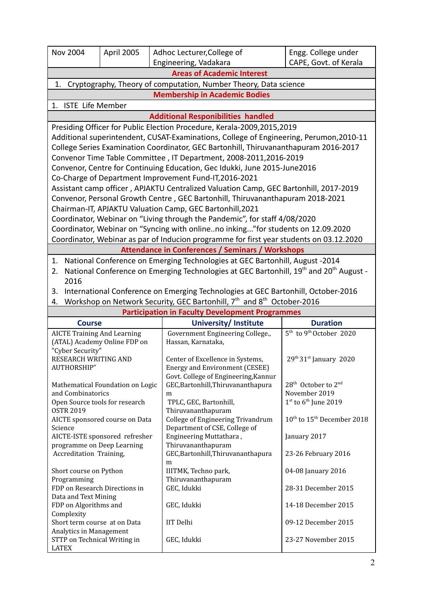| <b>Nov 2004</b>                                                                                                      | April 2005 | Adhoc Lecturer, College of                                                   | Engg. College under   |  |  |
|----------------------------------------------------------------------------------------------------------------------|------------|------------------------------------------------------------------------------|-----------------------|--|--|
|                                                                                                                      |            | Engineering, Vadakara                                                        | CAPE, Govt. of Kerala |  |  |
|                                                                                                                      |            | <b>Areas of Academic Interest</b>                                            |                       |  |  |
| Cryptography, Theory of computation, Number Theory, Data science<br>1.                                               |            |                                                                              |                       |  |  |
| <b>Membership in Academic Bodies</b>                                                                                 |            |                                                                              |                       |  |  |
| 1. ISTE Life Member                                                                                                  |            |                                                                              |                       |  |  |
| <b>Additional Responibilities handled</b>                                                                            |            |                                                                              |                       |  |  |
| Presiding Officer for Public Election Procedure, Kerala-2009,2015,2019                                               |            |                                                                              |                       |  |  |
| Additional superintendent, CUSAT-Examinations, College of Engineering, Perumon, 2010-11                              |            |                                                                              |                       |  |  |
| College Series Examination Coordinator, GEC Bartonhill, Thiruvananthapuram 2016-2017                                 |            |                                                                              |                       |  |  |
| Convenor Time Table Committee, IT Department, 2008-2011,2016-2019                                                    |            |                                                                              |                       |  |  |
| Convenor, Centre for Continuing Education, Gec Idukki, June 2015-June2016                                            |            |                                                                              |                       |  |  |
| Co-Charge of Department Improvement Fund-IT, 2016-2021                                                               |            |                                                                              |                       |  |  |
| Assistant camp officer, APJAKTU Centralized Valuation Camp, GEC Bartonhill, 2017-2019                                |            |                                                                              |                       |  |  |
| Convenor, Personal Growth Centre, GEC Bartonhill, Thiruvananthapuram 2018-2021                                       |            |                                                                              |                       |  |  |
| Chairman-IT, APJAKTU Valuation Camp, GEC Bartonhill, 2021                                                            |            |                                                                              |                       |  |  |
| Coordinator, Webinar on "Living through the Pandemic", for staff 4/08/2020                                           |            |                                                                              |                       |  |  |
| Coordinator, Webinar on "Syncing with onlineno inking" for students on 12.09.2020                                    |            |                                                                              |                       |  |  |
| Coordinator, Webinar as par of Inducion programme for first year students on 03.12.2020                              |            |                                                                              |                       |  |  |
| <b>Attendance in Conferences / Seminars / Workshops</b>                                                              |            |                                                                              |                       |  |  |
| 1.                                                                                                                   |            | National Conference on Emerging Technologies at GEC Bartonhill, August -2014 |                       |  |  |
| National Conference on Emerging Technologies at GEC Bartonhill, 19 <sup>th</sup> and 20 <sup>th</sup> August -<br>2. |            |                                                                              |                       |  |  |

2016 3. International Conference on Emerging Technologies at GEC Bartonhill, October-2016

4. Workshop on Network Security, GEC Bartonhill, 7<sup>th</sup> and 8<sup>th</sup> October-2016

| <b>Participation in Faculty Development Programmes</b> |                                      |                                                    |  |  |  |  |
|--------------------------------------------------------|--------------------------------------|----------------------------------------------------|--|--|--|--|
| Course                                                 | University/ Institute                | <b>Duration</b>                                    |  |  |  |  |
| <b>AICTE Training And Learning</b>                     | Government Engineering College.,     | 5 <sup>th</sup> to 9 <sup>th</sup> October 2020    |  |  |  |  |
| (ATAL) Academy Online FDP on                           | Hassan, Karnataka,                   |                                                    |  |  |  |  |
| "Cyber Security"                                       |                                      |                                                    |  |  |  |  |
| RESEARCH WRITING AND                                   | Center of Excellence in Systems,     | $29th 31st$ January 2020                           |  |  |  |  |
| AUTHORSHIP"                                            | Energy and Environment (CESEE)       |                                                    |  |  |  |  |
|                                                        | Govt. College of Engineering, Kannur |                                                    |  |  |  |  |
| Mathematical Foundation on Logic                       | GEC, Bartonhill, Thiruvananthapura   | 28 <sup>th</sup> October to 2 <sup>nd</sup>        |  |  |  |  |
| and Combinatorics                                      | m                                    | November 2019                                      |  |  |  |  |
| Open Source tools for research                         | TPLC, GEC, Bartonhill,               | $1st$ to 6 <sup>th</sup> June 2019                 |  |  |  |  |
| <b>OSTR 2019</b>                                       | Thiruvananthapuram                   |                                                    |  |  |  |  |
| AICTE sponsored course on Data                         | College of Engineering Trivandrum    | 10 <sup>th</sup> to 15 <sup>th</sup> December 2018 |  |  |  |  |
| Science                                                | Department of CSE, College of        |                                                    |  |  |  |  |
| AICTE-ISTE sponsored refresher                         | Engineering Muttathara,              | January 2017                                       |  |  |  |  |
| programme on Deep Learning                             | Thiruvananthapuram                   |                                                    |  |  |  |  |
| Accreditation Training,                                | GEC, Bartonhill, Thiruvananthapura   | 23-26 February 2016                                |  |  |  |  |
|                                                        | m                                    |                                                    |  |  |  |  |
| Short course on Python                                 | IIITMK, Techno park,                 | 04-08 January 2016                                 |  |  |  |  |
| Programming                                            | Thiruvananthapuram                   |                                                    |  |  |  |  |
| FDP on Research Directions in                          | GEC, Idukki                          | 28-31 December 2015                                |  |  |  |  |
| Data and Text Mining                                   |                                      |                                                    |  |  |  |  |
| FDP on Algorithms and                                  | GEC, Idukki                          | 14-18 December 2015                                |  |  |  |  |
| Complexity                                             |                                      |                                                    |  |  |  |  |
| Short term course at on Data                           | <b>IIT</b> Delhi                     | 09-12 December 2015                                |  |  |  |  |
| Analytics in Management                                |                                      |                                                    |  |  |  |  |
| STTP on Technical Writing in                           | GEC, Idukki                          | 23-27 November 2015                                |  |  |  |  |
| <b>LATEX</b>                                           |                                      |                                                    |  |  |  |  |